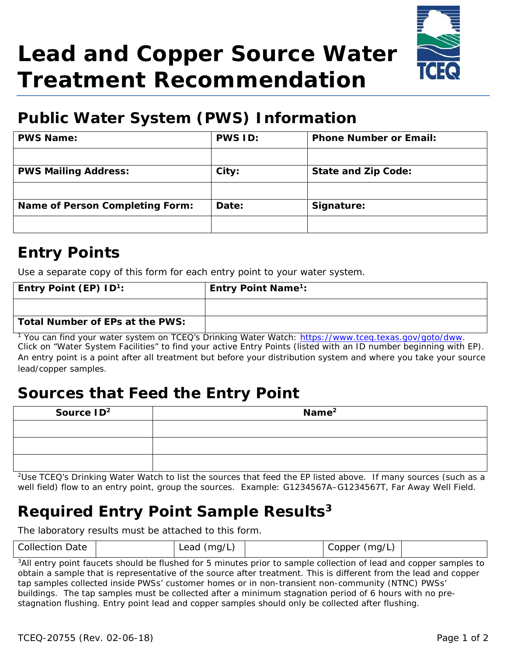# **Lead and Copper Source Water Treatment Recommendation**



# **Public Water System (PWS) Information**

| <b>PWS Name:</b>                | <b>PWS ID:</b> | <b>Phone Number or Email:</b> |
|---------------------------------|----------------|-------------------------------|
|                                 |                |                               |
| <b>PWS Mailing Address:</b>     | City:          | <b>State and Zip Code:</b>    |
|                                 |                |                               |
| Name of Person Completing Form: | Date:          | Signature:                    |
|                                 |                |                               |

#### **Entry Points**

Use a separate copy of this form for each entry point to your water system.

| Entry Point (EP) $ID^1$ :       | <b>Entry Point Name<sup>1</sup>:</b> |
|---------------------------------|--------------------------------------|
|                                 |                                      |
| Total Number of EPs at the PWS: |                                      |

<sup>1</sup> You can find your water system on TCEQ's Drinking Water Watch: https://www.tceq.texas.gov/goto/dww. Click on "Water System Facilities" to find your active Entry Points (listed with an ID number beginning with EP). An entry point is a point after all treatment but before your distribution system and where you take your source lead/copper samples.

## **Sources that Feed the Entry Point**

| Source $ID2$ | $\mathsf{Name}^2$ |  |
|--------------|-------------------|--|
|              |                   |  |
|              |                   |  |
|              |                   |  |

<sup>2</sup>Use TCEQ's Drinking Water Watch to list the sources that feed the EP listed above. If many sources (such as a well field) flow to an entry point, group the sources. Example: G1234567A–G1234567T, Far Away Well Field.

## **Required Entry Point Sample Results3**

The laboratory results must be attached to this form.

| <b>Collection Date</b> | Lead<br>(ma/L) | <b>Copper</b><br>(ma/L. |  |
|------------------------|----------------|-------------------------|--|
|                        |                |                         |  |

<sup>3</sup>All entry point faucets should be flushed for 5 minutes prior to sample collection of lead and copper samples to obtain a sample that is representative of the source after treatment. This is different from the lead and copper tap samples collected inside PWSs' customer homes or in non-transient non-community (NTNC) PWSs' buildings. The tap samples must be collected after a minimum stagnation period of 6 hours with no pre-stagnation flushing. Entry point lead and copper samples should only be collected after flushing.